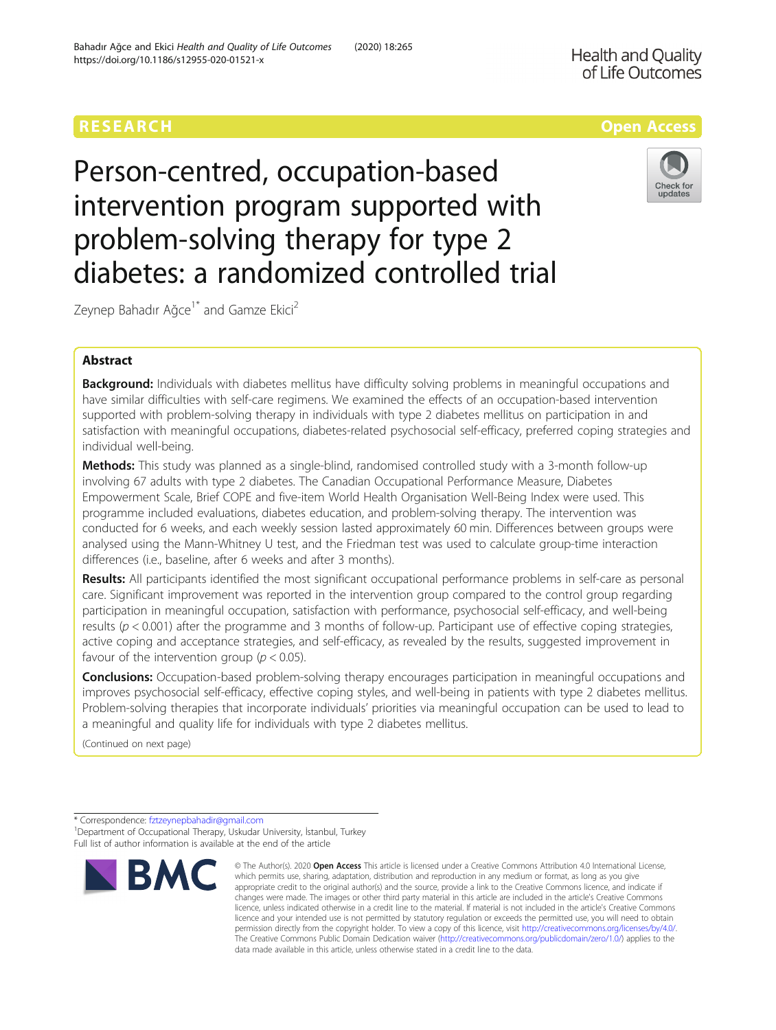# RESEARCH **RESEARCH CONSUMING THE CONSUMING TEACHER CONSUMING THE CONSUMING TEACHER CONSUMING THE CONSUMING TEACHER CONSUMING THE CONSUMING TEACHER CONSUMING THE CONSUMING TEACHER CONSUMING THE CONSUMING THE CONSUMING THE**

Person-centred, occupation-based intervention program supported with problem-solving therapy for type 2 diabetes: a randomized controlled trial

Zeynep Bahadır Ağce<sup>1\*</sup> and Gamze Ekici<sup>2</sup>

## Abstract

**Background:** Individuals with diabetes mellitus have difficulty solving problems in meaningful occupations and have similar difficulties with self-care regimens. We examined the effects of an occupation-based intervention supported with problem-solving therapy in individuals with type 2 diabetes mellitus on participation in and satisfaction with meaningful occupations, diabetes-related psychosocial self-efficacy, preferred coping strategies and individual well-being.

Methods: This study was planned as a single-blind, randomised controlled study with a 3-month follow-up involving 67 adults with type 2 diabetes. The Canadian Occupational Performance Measure, Diabetes Empowerment Scale, Brief COPE and five-item World Health Organisation Well-Being Index were used. This programme included evaluations, diabetes education, and problem-solving therapy. The intervention was conducted for 6 weeks, and each weekly session lasted approximately 60 min. Differences between groups were analysed using the Mann-Whitney U test, and the Friedman test was used to calculate group-time interaction differences (i.e., baseline, after 6 weeks and after 3 months).

Results: All participants identified the most significant occupational performance problems in self-care as personal care. Significant improvement was reported in the intervention group compared to the control group regarding participation in meaningful occupation, satisfaction with performance, psychosocial self-efficacy, and well-being results ( $p < 0.001$ ) after the programme and 3 months of follow-up. Participant use of effective coping strategies, active coping and acceptance strategies, and self-efficacy, as revealed by the results, suggested improvement in favour of the intervention group ( $p < 0.05$ ).

Conclusions: Occupation-based problem-solving therapy encourages participation in meaningful occupations and improves psychosocial self-efficacy, effective coping styles, and well-being in patients with type 2 diabetes mellitus. Problem-solving therapies that incorporate individuals' priorities via meaningful occupation can be used to lead to a meaningful and quality life for individuals with type 2 diabetes mellitus.

(Continued on next page)

which permits use, sharing, adaptation, distribution and reproduction in any medium or format, as long as you give appropriate credit to the original author(s) and the source, provide a link to the Creative Commons licence, and indicate if changes were made. The images or other third party material in this article are included in the article's Creative Commons licence, unless indicated otherwise in a credit line to the material. If material is not included in the article's Creative Commons licence and your intended use is not permitted by statutory regulation or exceeds the permitted use, you will need to obtain permission directly from the copyright holder. To view a copy of this licence, visit [http://creativecommons.org/licenses/by/4.0/.](http://creativecommons.org/licenses/by/4.0/) The Creative Commons Public Domain Dedication waiver [\(http://creativecommons.org/publicdomain/zero/1.0/](http://creativecommons.org/publicdomain/zero/1.0/)) applies to the data made available in this article, unless otherwise stated in a credit line to the data.

© The Author(s), 2020 **Open Access** This article is licensed under a Creative Commons Attribution 4.0 International License,

**BMC** 



**Health and Quality** of Life Outcomes



<sup>\*</sup> Correspondence: [fztzeynepbahadir@gmail.com](mailto:fztzeynepbahadir@gmail.com) <sup>1</sup> Department of Occupational Therapy, Uskudar University, İstanbul, Turkey Full list of author information is available at the end of the article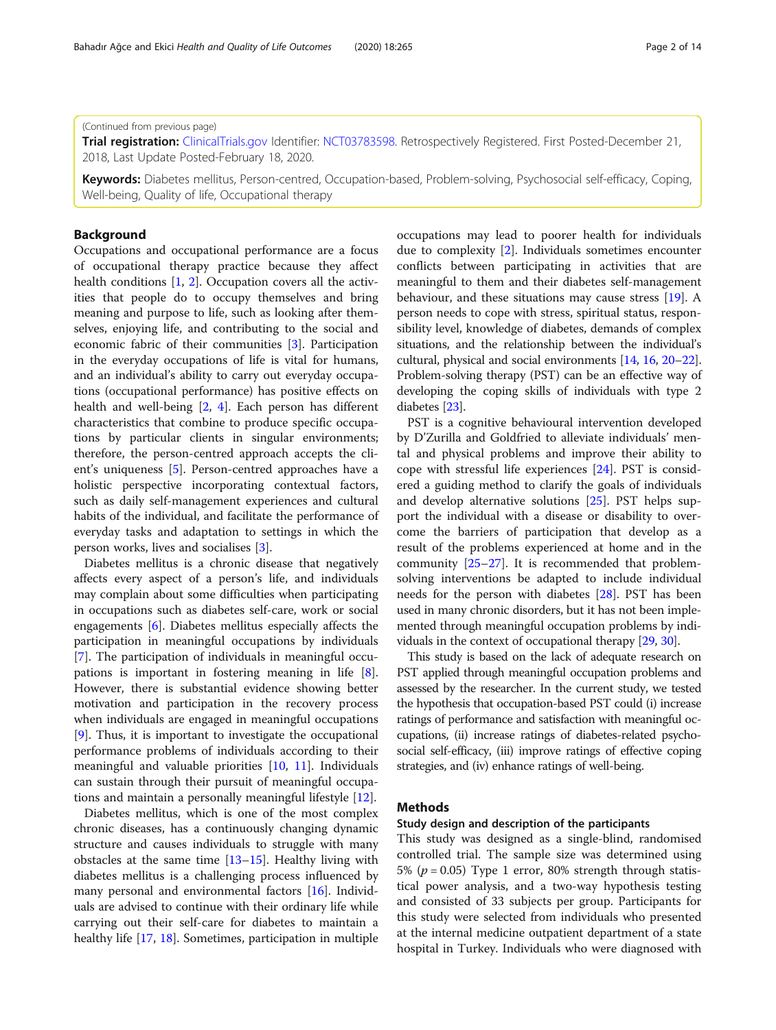(Continued from previous page)

Trial registration: [ClinicalTrials.gov](http://clinicaltrials.gov) Identifier: [NCT03783598](https://clinicaltrials.gov/ct2/show/NCT03783598). Retrospectively Registered. First Posted-December 21, 2018, Last Update Posted-February 18, 2020.

Keywords: Diabetes mellitus, Person-centred, Occupation-based, Problem-solving, Psychosocial self-efficacy, Coping, Well-being, Quality of life, Occupational therapy

## Background

Occupations and occupational performance are a focus of occupational therapy practice because they affect health conditions [[1](#page-11-0), [2\]](#page-11-0). Occupation covers all the activities that people do to occupy themselves and bring meaning and purpose to life, such as looking after themselves, enjoying life, and contributing to the social and economic fabric of their communities [[3\]](#page-11-0). Participation in the everyday occupations of life is vital for humans, and an individual's ability to carry out everyday occupations (occupational performance) has positive effects on health and well-being [[2](#page-11-0), [4](#page-11-0)]. Each person has different characteristics that combine to produce specific occupations by particular clients in singular environments; therefore, the person-centred approach accepts the client's uniqueness [[5](#page-11-0)]. Person-centred approaches have a holistic perspective incorporating contextual factors, such as daily self-management experiences and cultural habits of the individual, and facilitate the performance of everyday tasks and adaptation to settings in which the person works, lives and socialises [[3\]](#page-11-0).

Diabetes mellitus is a chronic disease that negatively affects every aspect of a person's life, and individuals may complain about some difficulties when participating in occupations such as diabetes self-care, work or social engagements [[6](#page-11-0)]. Diabetes mellitus especially affects the participation in meaningful occupations by individuals [[7\]](#page-11-0). The participation of individuals in meaningful occupations is important in fostering meaning in life [\[8](#page-11-0)]. However, there is substantial evidence showing better motivation and participation in the recovery process when individuals are engaged in meaningful occupations [[9\]](#page-11-0). Thus, it is important to investigate the occupational performance problems of individuals according to their meaningful and valuable priorities [\[10](#page-12-0), [11\]](#page-12-0). Individuals can sustain through their pursuit of meaningful occupations and maintain a personally meaningful lifestyle [[12\]](#page-12-0).

Diabetes mellitus, which is one of the most complex chronic diseases, has a continuously changing dynamic structure and causes individuals to struggle with many obstacles at the same time [[13](#page-12-0)–[15](#page-12-0)]. Healthy living with diabetes mellitus is a challenging process influenced by many personal and environmental factors [[16\]](#page-12-0). Individuals are advised to continue with their ordinary life while carrying out their self-care for diabetes to maintain a healthy life [[17,](#page-12-0) [18\]](#page-12-0). Sometimes, participation in multiple occupations may lead to poorer health for individuals due to complexity [\[2](#page-11-0)]. Individuals sometimes encounter conflicts between participating in activities that are meaningful to them and their diabetes self-management behaviour, and these situations may cause stress [[19\]](#page-12-0). A person needs to cope with stress, spiritual status, responsibility level, knowledge of diabetes, demands of complex situations, and the relationship between the individual's cultural, physical and social environments [\[14,](#page-12-0) [16](#page-12-0), [20](#page-12-0)–[22](#page-12-0)]. Problem-solving therapy (PST) can be an effective way of developing the coping skills of individuals with type 2 diabetes [[23](#page-12-0)].

PST is a cognitive behavioural intervention developed by D'Zurilla and Goldfried to alleviate individuals' mental and physical problems and improve their ability to cope with stressful life experiences [\[24\]](#page-12-0). PST is considered a guiding method to clarify the goals of individuals and develop alternative solutions [[25\]](#page-12-0). PST helps support the individual with a disease or disability to overcome the barriers of participation that develop as a result of the problems experienced at home and in the community [\[25](#page-12-0)–[27\]](#page-12-0). It is recommended that problemsolving interventions be adapted to include individual needs for the person with diabetes [\[28](#page-12-0)]. PST has been used in many chronic disorders, but it has not been implemented through meaningful occupation problems by individuals in the context of occupational therapy [\[29,](#page-12-0) [30\]](#page-12-0).

This study is based on the lack of adequate research on PST applied through meaningful occupation problems and assessed by the researcher. In the current study, we tested the hypothesis that occupation-based PST could (i) increase ratings of performance and satisfaction with meaningful occupations, (ii) increase ratings of diabetes-related psychosocial self-efficacy, (iii) improve ratings of effective coping strategies, and (iv) enhance ratings of well-being.

## Methods

#### Study design and description of the participants

This study was designed as a single-blind, randomised controlled trial. The sample size was determined using 5% ( $p = 0.05$ ) Type 1 error, 80% strength through statistical power analysis, and a two-way hypothesis testing and consisted of 33 subjects per group. Participants for this study were selected from individuals who presented at the internal medicine outpatient department of a state hospital in Turkey. Individuals who were diagnosed with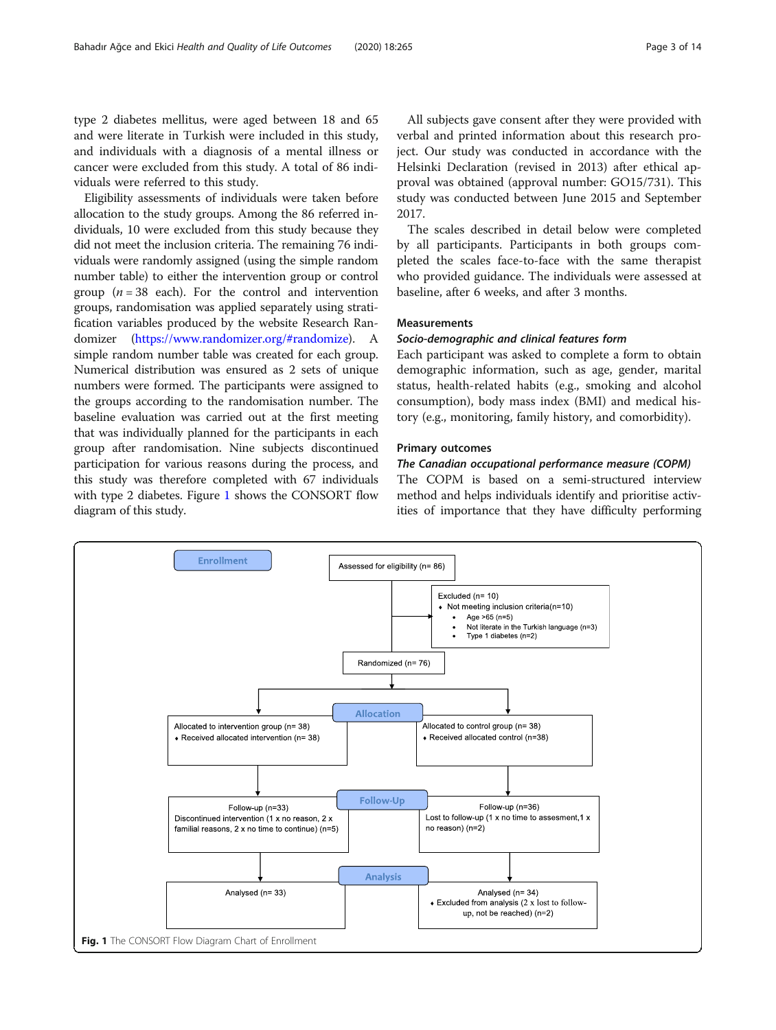type 2 diabetes mellitus, were aged between 18 and 65 and were literate in Turkish were included in this study, and individuals with a diagnosis of a mental illness or cancer were excluded from this study. A total of 86 individuals were referred to this study.

Eligibility assessments of individuals were taken before allocation to the study groups. Among the 86 referred individuals, 10 were excluded from this study because they did not meet the inclusion criteria. The remaining 76 individuals were randomly assigned (using the simple random number table) to either the intervention group or control group ( $n = 38$  each). For the control and intervention groups, randomisation was applied separately using stratification variables produced by the website Research Randomizer (<https://www.randomizer.org/#randomize>). A simple random number table was created for each group. Numerical distribution was ensured as 2 sets of unique numbers were formed. The participants were assigned to the groups according to the randomisation number. The baseline evaluation was carried out at the first meeting that was individually planned for the participants in each group after randomisation. Nine subjects discontinued participation for various reasons during the process, and this study was therefore completed with 67 individuals with type 2 diabetes. Figure 1 shows the CONSORT flow diagram of this study.

All subjects gave consent after they were provided with verbal and printed information about this research project. Our study was conducted in accordance with the Helsinki Declaration (revised in 2013) after ethical approval was obtained (approval number: GO15/731). This study was conducted between June 2015 and September 2017.

The scales described in detail below were completed by all participants. Participants in both groups completed the scales face-to-face with the same therapist who provided guidance. The individuals were assessed at baseline, after 6 weeks, and after 3 months.

### **Measurements**

## Socio-demographic and clinical features form

Each participant was asked to complete a form to obtain demographic information, such as age, gender, marital status, health-related habits (e.g., smoking and alcohol consumption), body mass index (BMI) and medical history (e.g., monitoring, family history, and comorbidity).

## Primary outcomes

### The Canadian occupational performance measure (COPM)

The COPM is based on a semi-structured interview method and helps individuals identify and prioritise activities of importance that they have difficulty performing

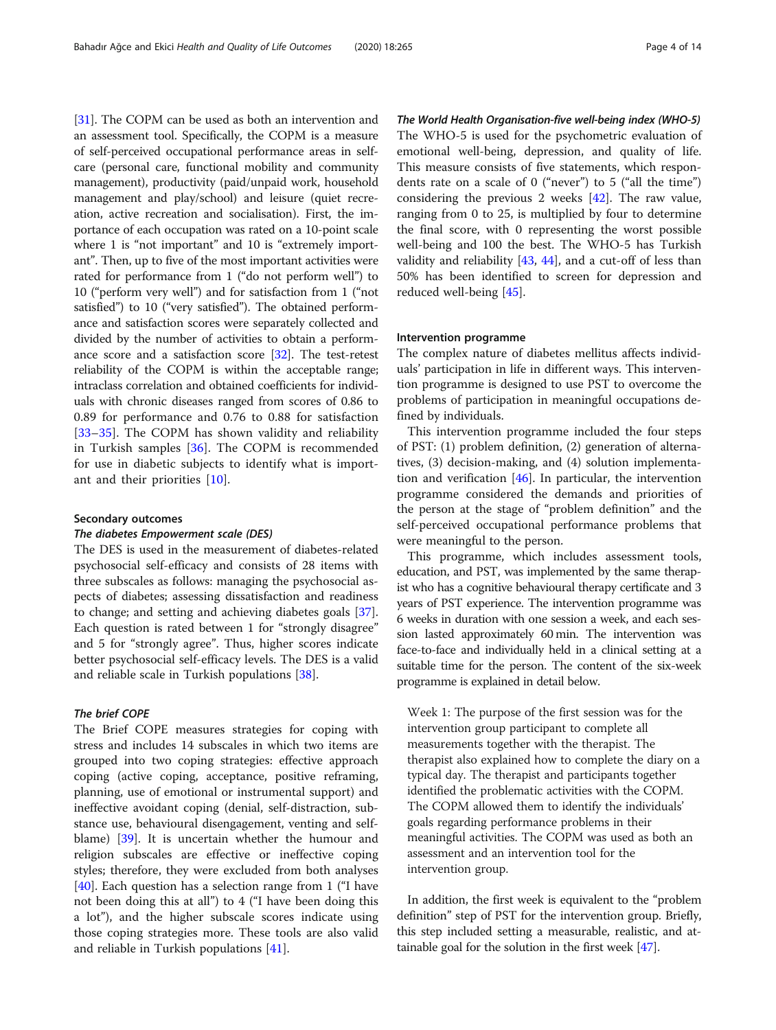[[31](#page-12-0)]. The COPM can be used as both an intervention and an assessment tool. Specifically, the COPM is a measure of self-perceived occupational performance areas in selfcare (personal care, functional mobility and community management), productivity (paid/unpaid work, household management and play/school) and leisure (quiet recreation, active recreation and socialisation). First, the importance of each occupation was rated on a 10-point scale where 1 is "not important" and 10 is "extremely important". Then, up to five of the most important activities were rated for performance from 1 ("do not perform well") to 10 ("perform very well") and for satisfaction from 1 ("not satisfied") to 10 ("very satisfied"). The obtained performance and satisfaction scores were separately collected and divided by the number of activities to obtain a performance score and a satisfaction score [[32](#page-12-0)]. The test-retest reliability of the COPM is within the acceptable range; intraclass correlation and obtained coefficients for individuals with chronic diseases ranged from scores of 0.86 to 0.89 for performance and 0.76 to 0.88 for satisfaction [[33](#page-12-0)–[35\]](#page-12-0). The COPM has shown validity and reliability in Turkish samples [\[36](#page-12-0)]. The COPM is recommended for use in diabetic subjects to identify what is important and their priorities [\[10](#page-12-0)].

## Secondary outcomes

#### The diabetes Empowerment scale (DES)

The DES is used in the measurement of diabetes-related psychosocial self-efficacy and consists of 28 items with three subscales as follows: managing the psychosocial aspects of diabetes; assessing dissatisfaction and readiness to change; and setting and achieving diabetes goals [\[37](#page-12-0)]. Each question is rated between 1 for "strongly disagree" and 5 for "strongly agree". Thus, higher scores indicate better psychosocial self-efficacy levels. The DES is a valid and reliable scale in Turkish populations [[38](#page-12-0)].

### The brief COPE

The Brief COPE measures strategies for coping with stress and includes 14 subscales in which two items are grouped into two coping strategies: effective approach coping (active coping, acceptance, positive reframing, planning, use of emotional or instrumental support) and ineffective avoidant coping (denial, self-distraction, substance use, behavioural disengagement, venting and selfblame) [[39\]](#page-12-0). It is uncertain whether the humour and religion subscales are effective or ineffective coping styles; therefore, they were excluded from both analyses [[40\]](#page-12-0). Each question has a selection range from 1 ("I have not been doing this at all") to 4 ("I have been doing this a lot"), and the higher subscale scores indicate using those coping strategies more. These tools are also valid and reliable in Turkish populations [\[41](#page-12-0)].

The World Health Organisation-five well-being index (WHO-5) The WHO-5 is used for the psychometric evaluation of emotional well-being, depression, and quality of life. This measure consists of five statements, which respondents rate on a scale of 0 ("never") to 5 ("all the time") considering the previous 2 weeks [[42\]](#page-12-0). The raw value, ranging from 0 to 25, is multiplied by four to determine the final score, with 0 representing the worst possible well-being and 100 the best. The WHO-5 has Turkish validity and reliability [\[43](#page-12-0), [44](#page-12-0)], and a cut-off of less than 50% has been identified to screen for depression and reduced well-being [[45](#page-12-0)].

#### Intervention programme

The complex nature of diabetes mellitus affects individuals' participation in life in different ways. This intervention programme is designed to use PST to overcome the problems of participation in meaningful occupations defined by individuals.

This intervention programme included the four steps of PST: (1) problem definition, (2) generation of alternatives, (3) decision-making, and (4) solution implementation and verification [[46\]](#page-12-0). In particular, the intervention programme considered the demands and priorities of the person at the stage of "problem definition" and the self-perceived occupational performance problems that were meaningful to the person.

This programme, which includes assessment tools, education, and PST, was implemented by the same therapist who has a cognitive behavioural therapy certificate and 3 years of PST experience. The intervention programme was 6 weeks in duration with one session a week, and each session lasted approximately 60 min. The intervention was face-to-face and individually held in a clinical setting at a suitable time for the person. The content of the six-week programme is explained in detail below.

Week 1: The purpose of the first session was for the intervention group participant to complete all measurements together with the therapist. The therapist also explained how to complete the diary on a typical day. The therapist and participants together identified the problematic activities with the COPM. The COPM allowed them to identify the individuals' goals regarding performance problems in their meaningful activities. The COPM was used as both an assessment and an intervention tool for the intervention group.

In addition, the first week is equivalent to the "problem definition" step of PST for the intervention group. Briefly, this step included setting a measurable, realistic, and attainable goal for the solution in the first week [[47](#page-12-0)].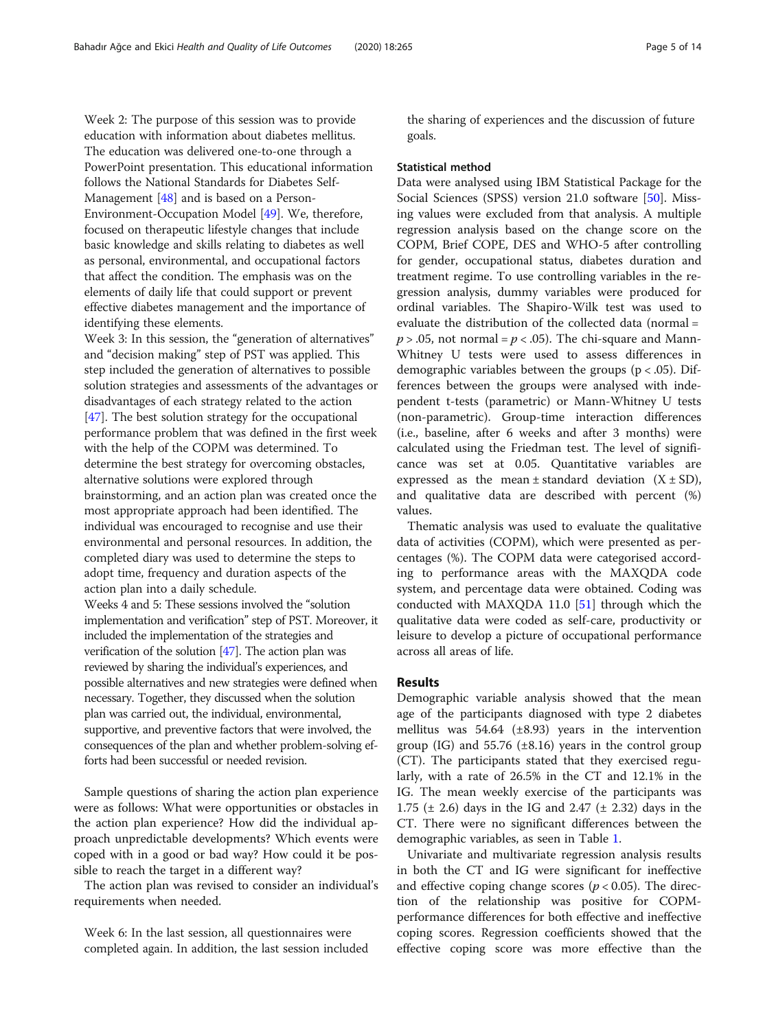Week 2: The purpose of this session was to provide education with information about diabetes mellitus. The education was delivered one-to-one through a PowerPoint presentation. This educational information follows the National Standards for Diabetes Self-Management [[48](#page-12-0)] and is based on a Person-Environment-Occupation Model [[49](#page-12-0)]. We, therefore, focused on therapeutic lifestyle changes that include basic knowledge and skills relating to diabetes as well as personal, environmental, and occupational factors that affect the condition. The emphasis was on the elements of daily life that could support or prevent effective diabetes management and the importance of identifying these elements.

Week 3: In this session, the "generation of alternatives" and "decision making" step of PST was applied. This step included the generation of alternatives to possible solution strategies and assessments of the advantages or disadvantages of each strategy related to the action [[47](#page-12-0)]. The best solution strategy for the occupational performance problem that was defined in the first week with the help of the COPM was determined. To determine the best strategy for overcoming obstacles, alternative solutions were explored through brainstorming, and an action plan was created once the most appropriate approach had been identified. The individual was encouraged to recognise and use their environmental and personal resources. In addition, the completed diary was used to determine the steps to adopt time, frequency and duration aspects of the action plan into a daily schedule. Weeks 4 and 5: These sessions involved the "solution implementation and verification" step of PST. Moreover, it

included the implementation of the strategies and verification of the solution [\[47](#page-12-0)]. The action plan was reviewed by sharing the individual's experiences, and possible alternatives and new strategies were defined when necessary. Together, they discussed when the solution plan was carried out, the individual, environmental, supportive, and preventive factors that were involved, the consequences of the plan and whether problem-solving efforts had been successful or needed revision.

Sample questions of sharing the action plan experience were as follows: What were opportunities or obstacles in the action plan experience? How did the individual approach unpredictable developments? Which events were coped with in a good or bad way? How could it be possible to reach the target in a different way?

The action plan was revised to consider an individual's requirements when needed.

Week 6: In the last session, all questionnaires were completed again. In addition, the last session included

the sharing of experiences and the discussion of future goals.

#### Statistical method

Data were analysed using IBM Statistical Package for the Social Sciences (SPSS) version 21.0 software [[50\]](#page-12-0). Missing values were excluded from that analysis. A multiple regression analysis based on the change score on the COPM, Brief COPE, DES and WHO-5 after controlling for gender, occupational status, diabetes duration and treatment regime. To use controlling variables in the regression analysis, dummy variables were produced for ordinal variables. The Shapiro-Wilk test was used to evaluate the distribution of the collected data (normal =  $p > .05$ , not normal =  $p < .05$ ). The chi-square and Mann-Whitney U tests were used to assess differences in demographic variables between the groups ( $p < .05$ ). Differences between the groups were analysed with independent t-tests (parametric) or Mann-Whitney U tests (non-parametric). Group-time interaction differences (i.e., baseline, after 6 weeks and after 3 months) were calculated using the Friedman test. The level of significance was set at 0.05. Quantitative variables are expressed as the mean  $\pm$  standard deviation  $(X \pm SD)$ , and qualitative data are described with percent (%) values.

Thematic analysis was used to evaluate the qualitative data of activities (COPM), which were presented as percentages (%). The COPM data were categorised according to performance areas with the MAXQDA code system, and percentage data were obtained. Coding was conducted with MAXQDA 11.0 [[51](#page-12-0)] through which the qualitative data were coded as self-care, productivity or leisure to develop a picture of occupational performance across all areas of life.

#### Results

Demographic variable analysis showed that the mean age of the participants diagnosed with type 2 diabetes mellitus was  $54.64$  ( $\pm 8.93$ ) years in the intervention group (IG) and  $55.76$  ( $\pm 8.16$ ) years in the control group (CT). The participants stated that they exercised regularly, with a rate of 26.5% in the CT and 12.1% in the IG. The mean weekly exercise of the participants was 1.75 (± 2.6) days in the IG and 2.47 (± 2.32) days in the CT. There were no significant differences between the demographic variables, as seen in Table [1](#page-5-0).

Univariate and multivariate regression analysis results in both the CT and IG were significant for ineffective and effective coping change scores ( $p < 0.05$ ). The direction of the relationship was positive for COPMperformance differences for both effective and ineffective coping scores. Regression coefficients showed that the effective coping score was more effective than the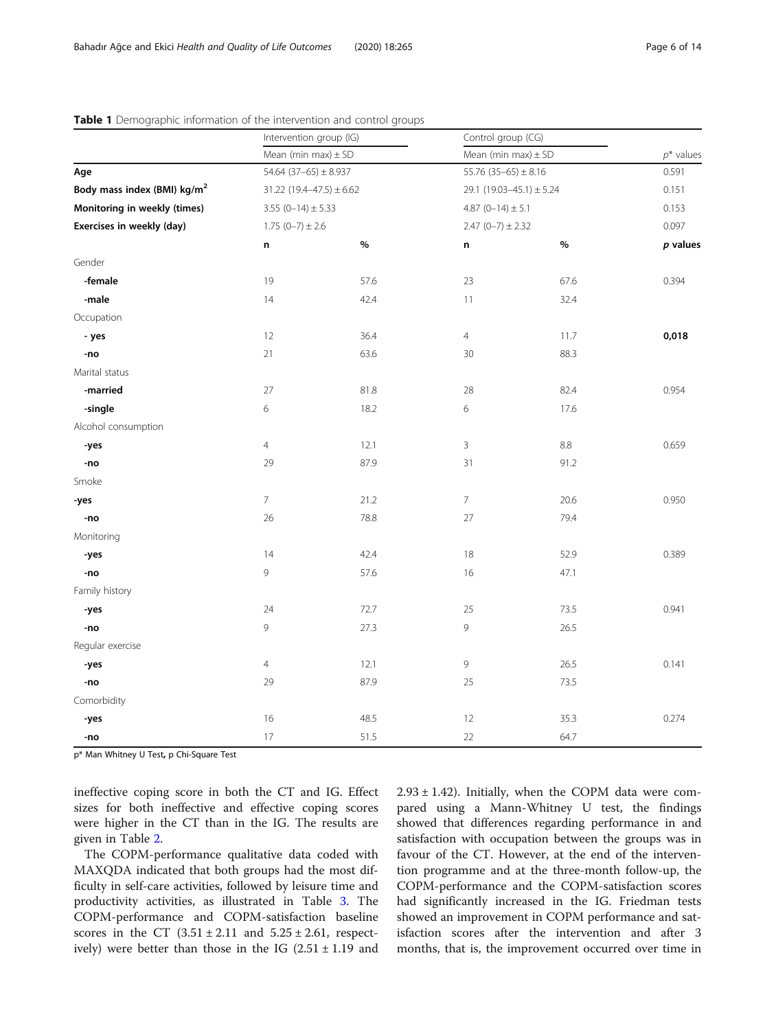|                                         | Intervention group (IG)<br>Mean (min max) $\pm$ SD |                        | Control group (CG)<br>Mean (min max) $\pm$ SD |                         |              |
|-----------------------------------------|----------------------------------------------------|------------------------|-----------------------------------------------|-------------------------|--------------|
|                                         |                                                    |                        |                                               |                         | $p^*$ values |
| Age                                     | 54.64 (37-65) $\pm$ 8.937                          |                        | 55.76 (35-65) $\pm$ 8.16                      |                         | 0.591        |
| Body mass index (BMI) kg/m <sup>2</sup> | 31.22 $(19.4 - 47.5) \pm 6.62$                     |                        | 29.1 $(19.03-45.1) \pm 5.24$                  |                         | 0.151        |
| Monitoring in weekly (times)            |                                                    | 3.55 $(0-14) \pm 5.33$ |                                               | 4.87 $(0-14) \pm 5.1$   |              |
| Exercises in weekly (day)               | $1.75$ (0-7) $\pm$ 2.6                             |                        |                                               | $2.47$ (0-7) $\pm$ 2.32 |              |
|                                         | n                                                  | $\%$                   | n                                             | $\%$                    | $p$ values   |
| Gender                                  |                                                    |                        |                                               |                         |              |
| -female                                 | 19                                                 | 57.6                   | 23                                            | 67.6                    | 0.394        |
| -male                                   | 14                                                 | 42.4                   | 11                                            | 32.4                    |              |
| Occupation                              |                                                    |                        |                                               |                         |              |
| - yes                                   | 12                                                 | 36.4                   | $\overline{4}$                                | 11.7                    | 0,018        |
| -no                                     | 21                                                 | 63.6                   | 30                                            | 88.3                    |              |
| Marital status                          |                                                    |                        |                                               |                         |              |
| -married                                | 27                                                 | 81.8                   | 28                                            | 82.4                    | 0.954        |
| -single                                 | 6                                                  | 18.2                   | 6                                             | 17.6                    |              |
| Alcohol consumption                     |                                                    |                        |                                               |                         |              |
| -yes                                    | $\overline{4}$                                     | 12.1                   | 3                                             | 8.8                     | 0.659        |
| -no                                     | 29                                                 | 87.9                   | 31                                            | 91.2                    |              |
| Smoke                                   |                                                    |                        |                                               |                         |              |
| -yes                                    | $\overline{7}$                                     | 21.2                   | $\overline{7}$                                | 20.6                    | 0.950        |
| -no                                     | 26                                                 | 78.8                   | 27                                            | 79.4                    |              |
| Monitoring                              |                                                    |                        |                                               |                         |              |
| -yes                                    | 14                                                 | 42.4                   | 18                                            | 52.9                    | 0.389        |
| -no                                     | 9                                                  | 57.6                   | 16                                            | 47.1                    |              |
| Family history                          |                                                    |                        |                                               |                         |              |
| -yes                                    | 24                                                 | 72.7                   | 25                                            | 73.5                    | 0.941        |
| -no                                     | 9                                                  | 27.3                   | 9                                             | 26.5                    |              |
| Regular exercise                        |                                                    |                        |                                               |                         |              |
| -yes                                    | $\overline{4}$                                     | 12.1                   | 9                                             | 26.5                    | 0.141        |
| -no                                     | 29                                                 | 87.9                   | 25                                            | 73.5                    |              |
| Comorbidity                             |                                                    |                        |                                               |                         |              |
| -yes                                    | 16                                                 | 48.5                   | 12                                            | 35.3                    | 0.274        |
| -no                                     | 17                                                 | 51.5                   | 22                                            | 64.7                    |              |

## <span id="page-5-0"></span>Table 1 Demographic information of the intervention and control groups

p\* Man Whitney U Test, p Chi-Square Test

ineffective coping score in both the CT and IG. Effect sizes for both ineffective and effective coping scores were higher in the CT than in the IG. The results are given in Table [2.](#page-6-0)

The COPM-performance qualitative data coded with MAXQDA indicated that both groups had the most difficulty in self-care activities, followed by leisure time and productivity activities, as illustrated in Table [3.](#page-7-0) The COPM-performance and COPM-satisfaction baseline scores in the CT  $(3.51 \pm 2.11)$  and  $5.25 \pm 2.61$ , respectively) were better than those in the IG  $(2.51 \pm 1.19)$  and  $2.93 \pm 1.42$ ). Initially, when the COPM data were compared using a Mann-Whitney U test, the findings showed that differences regarding performance in and satisfaction with occupation between the groups was in favour of the CT. However, at the end of the intervention programme and at the three-month follow-up, the COPM-performance and the COPM-satisfaction scores had significantly increased in the IG. Friedman tests showed an improvement in COPM performance and satisfaction scores after the intervention and after 3 months, that is, the improvement occurred over time in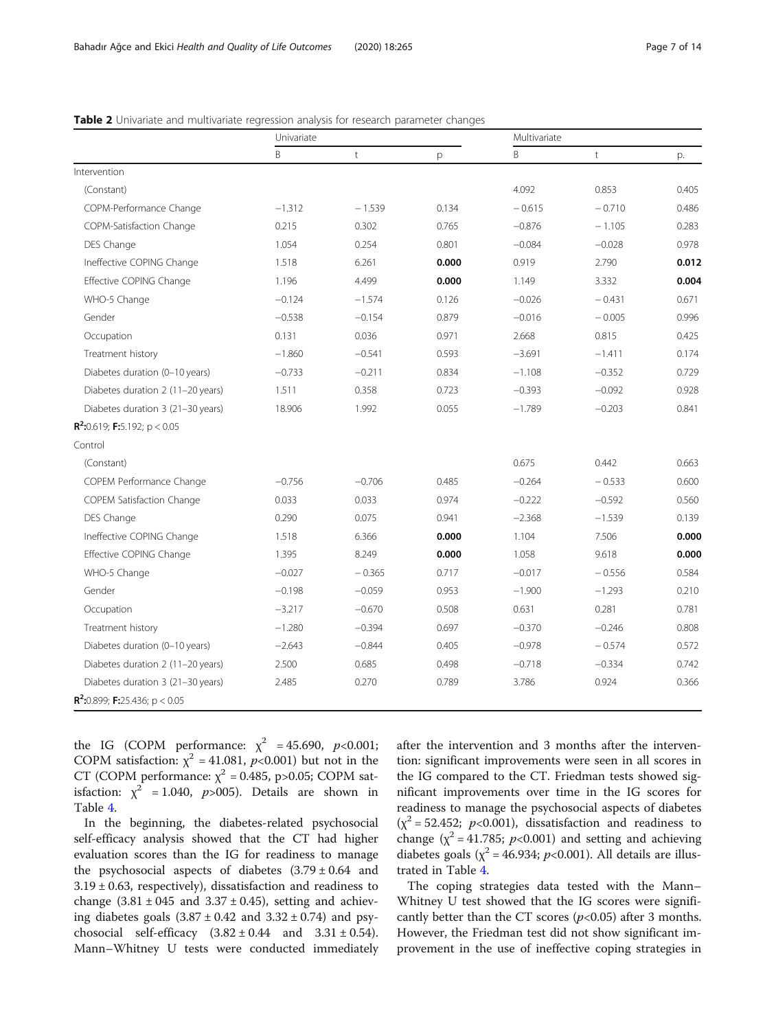|                                                           | Univariate |               |       | Multivariate |          |       |
|-----------------------------------------------------------|------------|---------------|-------|--------------|----------|-------|
|                                                           | B          | $^\mathrm{t}$ | р     | B            | t        | p.    |
| Intervention                                              |            |               |       |              |          |       |
| (Constant)                                                |            |               |       | 4.092        | 0.853    | 0.405 |
| COPM-Performance Change                                   | $-1.312$   | $-1.539$      | 0.134 | $-0.615$     | $-0.710$ | 0.486 |
| COPM-Satisfaction Change                                  | 0.215      | 0.302         | 0.765 | $-0.876$     | $-1.105$ | 0.283 |
| DES Change                                                | 1.054      | 0.254         | 0.801 | $-0.084$     | $-0.028$ | 0.978 |
| Ineffective COPING Change                                 | 1.518      | 6.261         | 0.000 | 0.919        | 2.790    | 0.012 |
| Effective COPING Change                                   | 1.196      | 4.499         | 0.000 | 1.149        | 3.332    | 0.004 |
| WHO-5 Change                                              | $-0.124$   | $-1.574$      | 0.126 | $-0.026$     | $-0.431$ | 0.671 |
| Gender                                                    | $-0.538$   | $-0.154$      | 0.879 | $-0.016$     | $-0.005$ | 0.996 |
| Occupation                                                | 0.131      | 0.036         | 0.971 | 2.668        | 0.815    | 0.425 |
| Treatment history                                         | $-1.860$   | $-0.541$      | 0.593 | $-3.691$     | $-1.411$ | 0.174 |
| Diabetes duration (0-10 years)                            | $-0.733$   | $-0.211$      | 0.834 | $-1.108$     | $-0.352$ | 0.729 |
| Diabetes duration 2 (11-20 years)                         | 1.511      | 0.358         | 0.723 | $-0.393$     | $-0.092$ | 0.928 |
| Diabetes duration 3 (21-30 years)                         | 18.906     | 1.992         | 0.055 | $-1.789$     | $-0.203$ | 0.841 |
| $R^2$ :0.619; <b>F:</b> 5.192; $p < 0.05$                 |            |               |       |              |          |       |
| Control                                                   |            |               |       |              |          |       |
| (Constant)                                                |            |               |       | 0.675        | 0.442    | 0.663 |
| COPEM Performance Change                                  | $-0.756$   | $-0.706$      | 0.485 | $-0.264$     | $-0.533$ | 0.600 |
| COPEM Satisfaction Change                                 | 0.033      | 0.033         | 0.974 | $-0.222$     | $-0.592$ | 0.560 |
| DES Change                                                | 0.290      | 0.075         | 0.941 | $-2.368$     | $-1.539$ | 0.139 |
| Ineffective COPING Change                                 | 1.518      | 6.366         | 0.000 | 1.104        | 7.506    | 0.000 |
| Effective COPING Change                                   | 1.395      | 8.249         | 0.000 | 1.058        | 9.618    | 0.000 |
| WHO-5 Change                                              | $-0.027$   | $-0.365$      | 0.717 | $-0.017$     | $-0.556$ | 0.584 |
| Gender                                                    | $-0.198$   | $-0.059$      | 0.953 | $-1.900$     | $-1.293$ | 0.210 |
| Occupation                                                | $-3.217$   | $-0.670$      | 0.508 | 0.631        | 0.281    | 0.781 |
| Treatment history                                         | $-1.280$   | $-0.394$      | 0.697 | $-0.370$     | $-0.246$ | 0.808 |
| Diabetes duration (0-10 years)                            | $-2.643$   | $-0.844$      | 0.405 | $-0.978$     | $-0.574$ | 0.572 |
| Diabetes duration 2 (11-20 years)                         | 2.500      | 0.685         | 0.498 | $-0.718$     | $-0.334$ | 0.742 |
| Diabetes duration 3 (21-30 years)                         | 2.485      | 0.270         | 0.789 | 3.786        | 0.924    | 0.366 |
| <b>R<sup>2</sup>:</b> 0.899; <b>F:</b> 25.436; $p < 0.05$ |            |               |       |              |          |       |

<span id="page-6-0"></span>Table 2 Univariate and multivariate regression analysis for research parameter changes

the IG (COPM performance:  $\chi^2$  = 45.690, p<0.001; COPM satisfaction:  $\chi^2$  = 41.081, *p*<0.001) but not in the CT (COPM performance:  $\chi^2$  = 0.485, p>0.05; COPM satisfaction:  $\chi^2$  = 1.040, *p*>005). Details are shown in Table [4.](#page-8-0)

In the beginning, the diabetes-related psychosocial self-efficacy analysis showed that the CT had higher evaluation scores than the IG for readiness to manage the psychosocial aspects of diabetes  $(3.79 \pm 0.64)$  and  $3.19 \pm 0.63$ , respectively), dissatisfaction and readiness to change  $(3.81 \pm 045$  and  $3.37 \pm 0.45)$ , setting and achieving diabetes goals  $(3.87 \pm 0.42$  and  $3.32 \pm 0.74)$  and psychosocial self-efficacy  $(3.82 \pm 0.44$  and  $3.31 \pm 0.54)$ . Mann–Whitney U tests were conducted immediately

after the intervention and 3 months after the intervention: significant improvements were seen in all scores in the IG compared to the CT. Friedman tests showed significant improvements over time in the IG scores for readiness to manage the psychosocial aspects of diabetes  $(\chi^2 = 52.452; p<0.001)$ , dissatisfaction and readiness to change ( $\chi^2$  = 41.785; *p*<0.001) and setting and achieving diabetes goals ( $\chi^2$  = 46.934; *p*<0.001). All details are illustrated in Table [4](#page-8-0).

The coping strategies data tested with the Mann– Whitney U test showed that the IG scores were significantly better than the CT scores  $(p<0.05)$  after 3 months. However, the Friedman test did not show significant improvement in the use of ineffective coping strategies in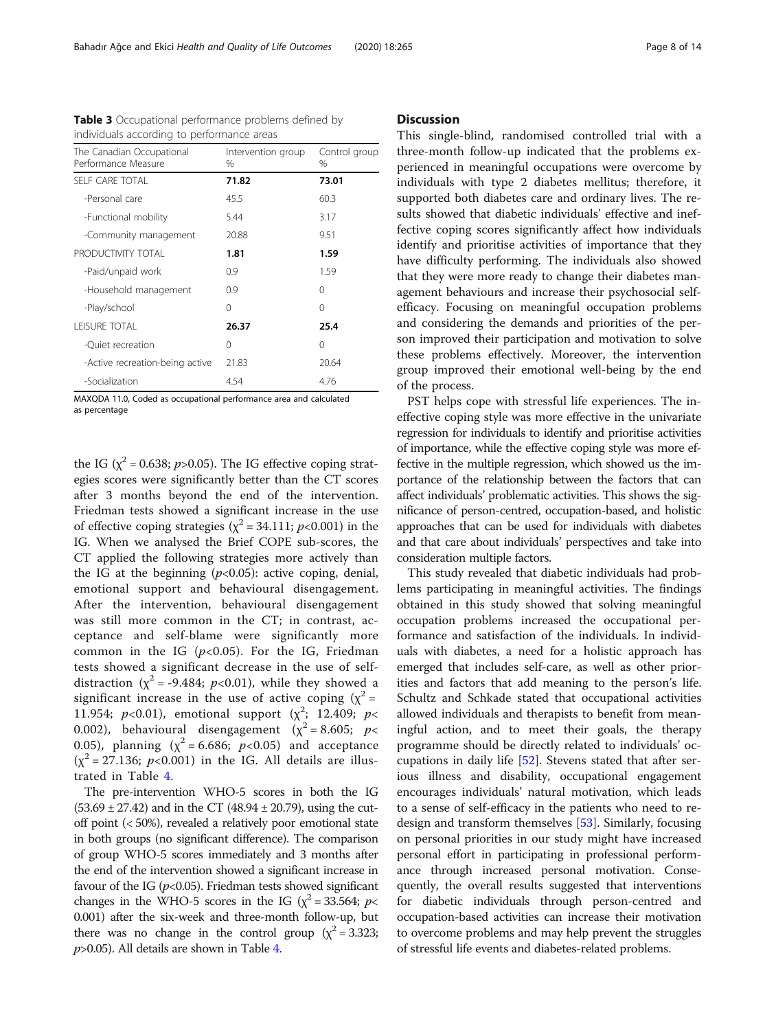MAXQDA 11.0, Coded as occupational performance area and calculated as percentage

the IG ( $\chi^2$  = 0.638; *p*>0.05). The IG effective coping strategies scores were significantly better than the CT scores after 3 months beyond the end of the intervention. Friedman tests showed a significant increase in the use of effective coping strategies ( $\chi^2$  = 34.111; *p*<0.001) in the IG. When we analysed the Brief COPE sub-scores, the CT applied the following strategies more actively than the IG at the beginning  $(p<0.05)$ : active coping, denial, emotional support and behavioural disengagement. After the intervention, behavioural disengagement was still more common in the CT; in contrast, acceptance and self-blame were significantly more common in the IG  $(p<0.05)$ . For the IG, Friedman tests showed a significant decrease in the use of selfdistraction ( $\chi^2$  = -9.484; *p*<0.01), while they showed a significant increase in the use of active coping  $(\chi^2 =$ 11.954;  $p<0.01$ ), emotional support ( $\chi^2$ ; 12.409;  $p<$ 0.002), behavioural disengagement ( $\chi^2$  = 8.605; *p*< 0.05), planning  $(\chi^2 = 6.686; p < 0.05)$  and acceptance  $(x^2 = 27.136; p<0.001)$  in the IG. All details are illustrated in Table [4](#page-8-0).

The pre-intervention WHO-5 scores in both the IG  $(53.69 \pm 27.42)$  and in the CT  $(48.94 \pm 20.79)$ , using the cutoff point (< 50%), revealed a relatively poor emotional state in both groups (no significant difference). The comparison of group WHO-5 scores immediately and 3 months after the end of the intervention showed a significant increase in favour of the IG ( $p$ <0.05). Friedman tests showed significant changes in the WHO-5 scores in the IG ( $\chi^2$  = 33.564; *p*< 0.001) after the six-week and three-month follow-up, but there was no change in the control group  $(\chi^2 = 3.323)$ ;  $p > 0.05$ ). All details are shown in Table [4](#page-8-0).

## **Discussion**

This single-blind, randomised controlled trial with a three-month follow-up indicated that the problems experienced in meaningful occupations were overcome by individuals with type 2 diabetes mellitus; therefore, it supported both diabetes care and ordinary lives. The results showed that diabetic individuals' effective and ineffective coping scores significantly affect how individuals identify and prioritise activities of importance that they have difficulty performing. The individuals also showed that they were more ready to change their diabetes management behaviours and increase their psychosocial selfefficacy. Focusing on meaningful occupation problems and considering the demands and priorities of the person improved their participation and motivation to solve these problems effectively. Moreover, the intervention group improved their emotional well-being by the end of the process.

PST helps cope with stressful life experiences. The ineffective coping style was more effective in the univariate regression for individuals to identify and prioritise activities of importance, while the effective coping style was more effective in the multiple regression, which showed us the importance of the relationship between the factors that can affect individuals' problematic activities. This shows the significance of person-centred, occupation-based, and holistic approaches that can be used for individuals with diabetes and that care about individuals' perspectives and take into consideration multiple factors.

This study revealed that diabetic individuals had problems participating in meaningful activities. The findings obtained in this study showed that solving meaningful occupation problems increased the occupational performance and satisfaction of the individuals. In individuals with diabetes, a need for a holistic approach has emerged that includes self-care, as well as other priorities and factors that add meaning to the person's life. Schultz and Schkade stated that occupational activities allowed individuals and therapists to benefit from meaningful action, and to meet their goals, the therapy programme should be directly related to individuals' occupations in daily life [[52\]](#page-12-0). Stevens stated that after serious illness and disability, occupational engagement encourages individuals' natural motivation, which leads to a sense of self-efficacy in the patients who need to redesign and transform themselves [\[53](#page-12-0)]. Similarly, focusing on personal priorities in our study might have increased personal effort in participating in professional performance through increased personal motivation. Consequently, the overall results suggested that interventions for diabetic individuals through person-centred and occupation-based activities can increase their motivation to overcome problems and may help prevent the struggles of stressful life events and diabetes-related problems.

<span id="page-7-0"></span>Table 3 Occupational performance problems defined by individuals according to performance areas

| The Canadian Occupational<br>Performance Measure | Intervention group<br>% | Control group<br>% |
|--------------------------------------------------|-------------------------|--------------------|
| SELE CARE TOTAL                                  | 71.82                   | 73.01              |
| -Personal care                                   | 45.5                    | 60.3               |
| -Functional mobility                             | 5.44                    | 3.17               |
| -Community management                            | 20.88                   | 9.51               |
| PRODUCTIVITY TOTAL                               | 1.81                    | 1.59               |
| -Paid/unpaid work                                | 0.9                     | 1.59               |
| -Household management                            | 0.9                     | 0                  |
| -Play/school                                     | 0                       | 0                  |
| LEISURE TOTAL                                    | 26.37                   | 25.4               |
| -Quiet recreation                                | Ω                       | $\Omega$           |
| -Active recreation-being active                  | 21.83                   | 20.64              |
| -Socialization                                   | 4.54                    | 4.76               |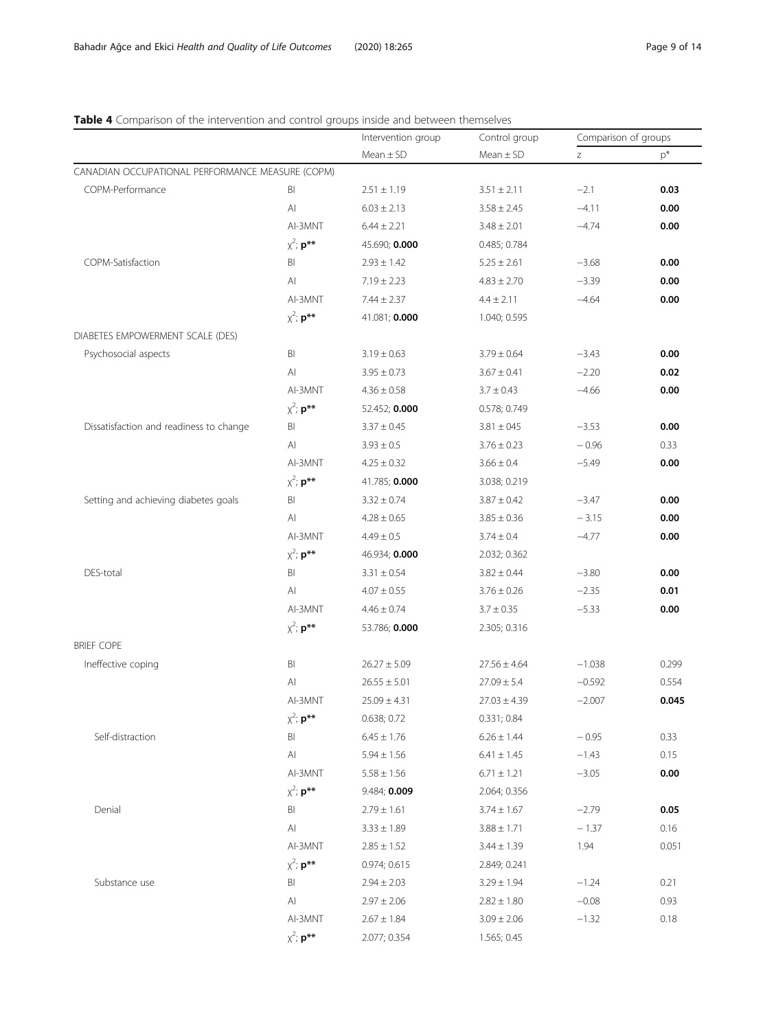## <span id="page-8-0"></span>Table 4 Comparison of the intervention and control groups inside and between themselves

|                                                  |                     | Intervention group | Control group    | Comparison of groups |       |  |
|--------------------------------------------------|---------------------|--------------------|------------------|----------------------|-------|--|
|                                                  |                     | $Mean \pm SD$      | $Mean \pm SD$    | Z                    | $p^*$ |  |
| CANADIAN OCCUPATIONAL PERFORMANCE MEASURE (COPM) |                     |                    |                  |                      |       |  |
| COPM-Performance                                 | BI                  | $2.51 \pm 1.19$    | $3.51 \pm 2.11$  | $-2.1$               | 0.03  |  |
|                                                  | AI                  | $6.03 \pm 2.13$    | $3.58 \pm 2.45$  | $-4.11$              | 0.00  |  |
|                                                  | AI-3MNT             | $6.44 \pm 2.21$    | $3.48 \pm 2.01$  | $-4.74$              | 0.00  |  |
|                                                  | $x^2$ ; $p^{**}$    | 45.690; 0.000      | 0.485; 0.784     |                      |       |  |
| COPM-Satisfaction                                | BI                  | $2.93 \pm 1.42$    | $5.25 \pm 2.61$  | $-3.68$              | 0.00  |  |
|                                                  | $\mathsf{Al}$       | $7.19 \pm 2.23$    | $4.83 \pm 2.70$  | $-3.39$              | 0.00  |  |
|                                                  | AI-3MNT             | $7.44 \pm 2.37$    | $4.4 \pm 2.11$   | $-4.64$              | 0.00  |  |
|                                                  | $x^2$ ; $p^{**}$    | 41.081; 0.000      | 1.040; 0.595     |                      |       |  |
| DIABETES EMPOWERMENT SCALE (DES)                 |                     |                    |                  |                      |       |  |
| Psychosocial aspects                             | BI                  | $3.19 \pm 0.63$    | $3.79 \pm 0.64$  | $-3.43$              | 0.00  |  |
|                                                  | AI                  | $3.95 \pm 0.73$    | $3.67 \pm 0.41$  | $-2.20$              | 0.02  |  |
|                                                  | AI-3MNT             | $4.36 \pm 0.58$    | $3.7 \pm 0.43$   | $-4.66$              | 0.00  |  |
|                                                  | $x^2$ ; $p^{**}$    | 52.452; 0.000      | 0.578; 0.749     |                      |       |  |
| Dissatisfaction and readiness to change          | BI                  | $3.37 \pm 0.45$    | $3.81 \pm 045$   | $-3.53$              | 0.00  |  |
|                                                  | $\mathsf{A}$        | $3.93 \pm 0.5$     | $3.76 \pm 0.23$  | $-0.96$              | 0.33  |  |
|                                                  | AI-3MNT             | $4.25 \pm 0.32$    | $3.66 \pm 0.4$   | $-5.49$              | 0.00  |  |
|                                                  | $\chi^2$ ; $p^{**}$ | 41.785; 0.000      | 3.038; 0.219     |                      |       |  |
| Setting and achieving diabetes goals             | BI                  | $3.32 \pm 0.74$    | $3.87 \pm 0.42$  | $-3.47$              | 0.00  |  |
|                                                  | $\mathsf{A}$        | $4.28 \pm 0.65$    | $3.85 \pm 0.36$  | $-3.15$              | 0.00  |  |
|                                                  | AI-3MNT             | $4.49 \pm 0.5$     | $3.74 \pm 0.4$   | $-4.77$              | 0.00  |  |
|                                                  | $x^2$ ; $p^{**}$    | 46.934; 0.000      | 2.032; 0.362     |                      |       |  |
| DES-total                                        | BI                  | $3.31 \pm 0.54$    | $3.82 \pm 0.44$  | $-3.80$              | 0.00  |  |
|                                                  | AI                  | $4.07 \pm 0.55$    | $3.76 \pm 0.26$  | $-2.35$              | 0.01  |  |
|                                                  | AI-3MNT             | $4.46 \pm 0.74$    | $3.7 \pm 0.35$   | $-5.33$              | 0.00  |  |
|                                                  | $x^2$ ; $p^{**}$    | 53.786; 0.000      | 2.305; 0.316     |                      |       |  |
| <b>BRIEF COPE</b>                                |                     |                    |                  |                      |       |  |
| Ineffective coping                               | BI                  | $26.27 \pm 5.09$   | $27.56 \pm 4.64$ | $-1.038$             | 0.299 |  |
|                                                  | Al                  | $26.55 \pm 5.01$   | $27.09 \pm 5.4$  | $-0.592$             | 0.554 |  |
|                                                  | AI-3MNT             | $25.09 \pm 4.31$   | $27.03 \pm 4.39$ | $-2.007$             | 0.045 |  |
|                                                  | $x^2$ ; $p^{**}$    | 0.638; 0.72        | 0.331; 0.84      |                      |       |  |
| Self-distraction                                 | BI                  | $6.45 \pm 1.76$    | $6.26 \pm 1.44$  | $-0.95$              | 0.33  |  |
|                                                  | AI                  | $5.94 \pm 1.56$    | $6.41 \pm 1.45$  | $-1.43$              | 0.15  |  |
|                                                  | AI-3MNT             | $5.58 \pm 1.56$    | $6.71 \pm 1.21$  | $-3.05$              | 0.00  |  |
|                                                  | $x^2$ ; $p^{**}$    | 9.484; 0.009       | 2.064; 0.356     |                      |       |  |
| Denial                                           | BI                  | $2.79 \pm 1.61$    | $3.74 \pm 1.67$  | $-2.79$              | 0.05  |  |
|                                                  | AI                  | $3.33 \pm 1.89$    | $3.88 \pm 1.71$  | $-1.37$              | 0.16  |  |
|                                                  | AI-3MNT             | $2.85 \pm 1.52$    | $3.44 \pm 1.39$  | 1.94                 | 0.051 |  |
|                                                  | $\chi^2$ ; $p^{**}$ | 0.974; 0.615       | 2.849; 0.241     |                      |       |  |
| Substance use                                    | BI                  | $2.94 \pm 2.03$    | $3.29 \pm 1.94$  | $-1.24$              | 0.21  |  |
|                                                  | AI                  | $2.97 \pm 2.06$    | $2.82 \pm 1.80$  | $-0.08$              | 0.93  |  |
|                                                  | AI-3MNT             | $2.67 \pm 1.84$    | $3.09 \pm 2.06$  | $-1.32$              | 0.18  |  |
|                                                  | $x^2$ ; $p^{**}$    | 2.077; 0.354       | 1.565; 0.45      |                      |       |  |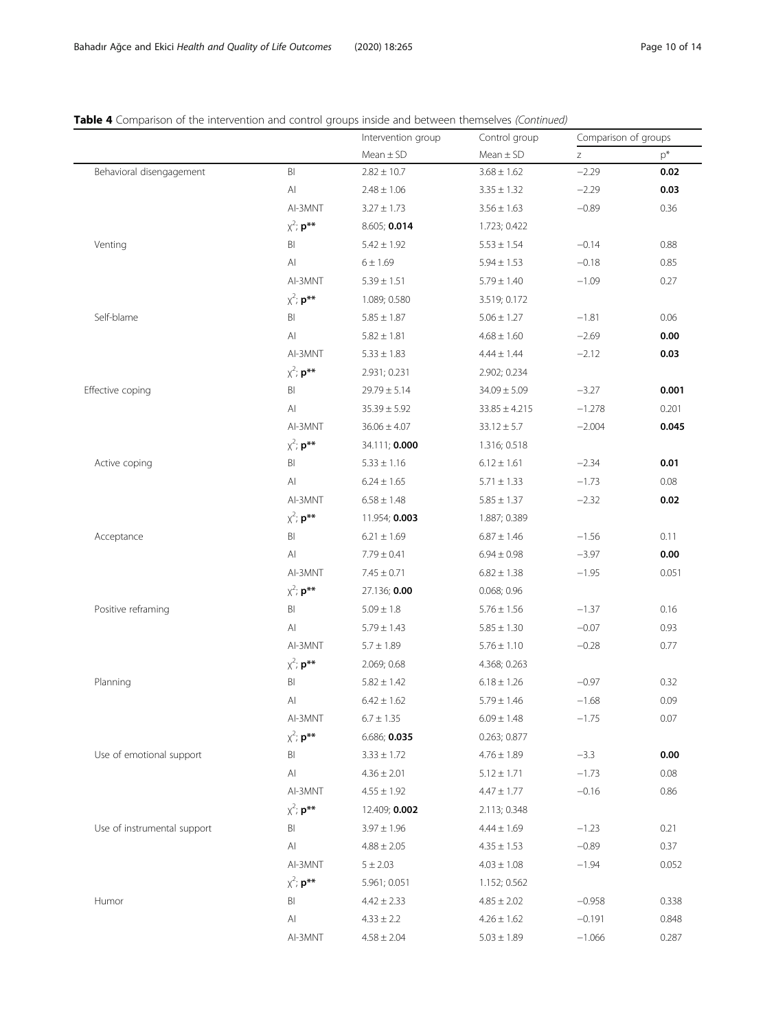|                             |                        | Intervention group | Control group     | Comparison of groups |       |
|-----------------------------|------------------------|--------------------|-------------------|----------------------|-------|
|                             |                        | $Mean \pm SD$      | $Mean \pm SD$     | $\mathsf Z$          | $p^*$ |
| Behavioral disengagement    | BI                     | $2.82 \pm 10.7$    | $3.68 \pm 1.62$   | $-2.29$              | 0.02  |
|                             | AI                     | $2.48 \pm 1.06$    | $3.35 \pm 1.32$   | $-2.29$              | 0.03  |
|                             | AI-3MNT                | $3.27 \pm 1.73$    | $3.56 \pm 1.63$   | $-0.89$              | 0.36  |
|                             | $x^2$ ; $p^{**}$       | 8.605; 0.014       | 1.723; 0.422      |                      |       |
| Venting                     | BI                     | $5.42 \pm 1.92$    | $5.53 \pm 1.54$   | $-0.14$              | 0.88  |
|                             | AI                     | 6 ± 1.69           | $5.94 \pm 1.53$   | $-0.18$              | 0.85  |
|                             | AI-3MNT                | $5.39 \pm 1.51$    | $5.79 \pm 1.40$   | $-1.09$              | 0.27  |
|                             | $x^2$ ; $p^{**}$       | 1.089; 0.580       | 3.519; 0.172      |                      |       |
| Self-blame                  | BI                     | $5.85 \pm 1.87$    | $5.06 \pm 1.27$   | $-1.81$              | 0.06  |
|                             | AI                     | $5.82 \pm 1.81$    | $4.68 \pm 1.60$   | $-2.69$              | 0.00  |
|                             | AI-3MNT                | $5.33 \pm 1.83$    | $4.44 \pm 1.44$   | $-2.12$              | 0.03  |
|                             | $x^2$ ; $p^{**}$       | 2.931; 0.231       | 2.902; 0.234      |                      |       |
| Effective coping            | BI                     | $29.79 \pm 5.14$   | $34.09 \pm 5.09$  | $-3.27$              | 0.001 |
|                             | AI                     | $35.39 \pm 5.92$   | $33.85 \pm 4.215$ | $-1.278$             | 0.201 |
|                             | AI-3MNT                | $36.06 \pm 4.07$   | $33.12 \pm 5.7$   | $-2.004$             | 0.045 |
|                             | $x^2$ ; $p^{**}$       | 34.111; 0.000      | 1.316; 0.518      |                      |       |
| Active coping               | BI                     | $5.33 \pm 1.16$    | $6.12 \pm 1.61$   | $-2.34$              | 0.01  |
|                             | AI                     | $6.24 \pm 1.65$    | $5.71 \pm 1.33$   | $-1.73$              | 0.08  |
|                             | AI-3MNT                | $6.58 \pm 1.48$    | $5.85 \pm 1.37$   | $-2.32$              | 0.02  |
|                             | $x^2$ ; $p^{**}$       | 11.954; 0.003      | 1.887; 0.389      |                      |       |
| Acceptance                  | BI                     | $6.21 \pm 1.69$    | $6.87 \pm 1.46$   | $-1.56$              | 0.11  |
|                             | AI                     | $7.79 \pm 0.41$    | $6.94 \pm 0.98$   | $-3.97$              | 0.00  |
|                             | AI-3MNT                | $7.45 \pm 0.71$    | $6.82 \pm 1.38$   | $-1.95$              | 0.051 |
|                             | $x^2$ ; $p^{**}$       | 27.136; 0.00       | 0.068; 0.96       |                      |       |
| Positive reframing          | B <sub>l</sub>         | $5.09 \pm 1.8$     | $5.76 \pm 1.56$   | $-1.37$              | 0.16  |
|                             | AI                     | $5.79 \pm 1.43$    | $5.85 \pm 1.30$   | $-0.07$              | 0.93  |
|                             | AI-3MNT                | $5.7 \pm 1.89$     | $5.76 \pm 1.10$   | $-0.28$              | 0.77  |
|                             | $x^2$ ; $p^{**}$       | 2.069; 0.68        | 4.368; 0.263      |                      |       |
| Planning                    | BI                     | $5.82 \pm 1.42$    | $6.18 \pm 1.26$   | $-0.97$              | 0.32  |
|                             | Al                     | $6.42 \pm 1.62$    | $5.79 \pm 1.46$   | $-1.68$              | 0.09  |
|                             | AI-3MNT                | $6.7 \pm 1.35$     | $6.09 \pm 1.48$   | $-1.75$              | 0.07  |
|                             | $x^2$ ; $p^{**}$       | 6.686; 0.035       | 0.263; 0.877      |                      |       |
| Use of emotional support    | BI                     | $3.33 \pm 1.72$    | $4.76 \pm 1.89$   | $-3.3$               | 0.00  |
|                             | $\mathsf{Al}$          | $4.36 \pm 2.01$    | $5.12 \pm 1.71$   | $-1.73$              | 0.08  |
|                             | AI-3MNT                | $4.55 \pm 1.92$    | $4.47 \pm 1.77$   | $-0.16$              | 0.86  |
|                             | $x^2$ ; $p^{**}$       | 12.409; 0.002      | 2.113; 0.348      |                      |       |
| Use of instrumental support | BI                     | $3.97 \pm 1.96$    | $4.44 \pm 1.69$   | $-1.23$              | 0.21  |
|                             | $\mathsf{Al}$          | $4.88 \pm 2.05$    | $4.35 \pm 1.53$   | $-0.89$              | 0.37  |
|                             | AI-3MNT                | 5 ± 2.03           | $4.03 \pm 1.08$   | $-1.94$              | 0.052 |
|                             | $x^2$ ; $p^{**}$       | 5.961; 0.051       | 1.152; 0.562      |                      |       |
| Humor                       | BI                     | $4.42 \pm 2.33$    | $4.85 \pm 2.02$   | $-0.958$             | 0.338 |
|                             | $\mathsf{A}\mathsf{I}$ | $4.33 \pm 2.2$     | $4.26 \pm 1.62$   | $-0.191$             | 0.848 |
|                             | AI-3MNT                | $4.58 \pm 2.04$    | $5.03 \pm 1.89$   | $-1.066$             | 0.287 |

## Table 4 Comparison of the intervention and control groups inside and between themselves (Continued)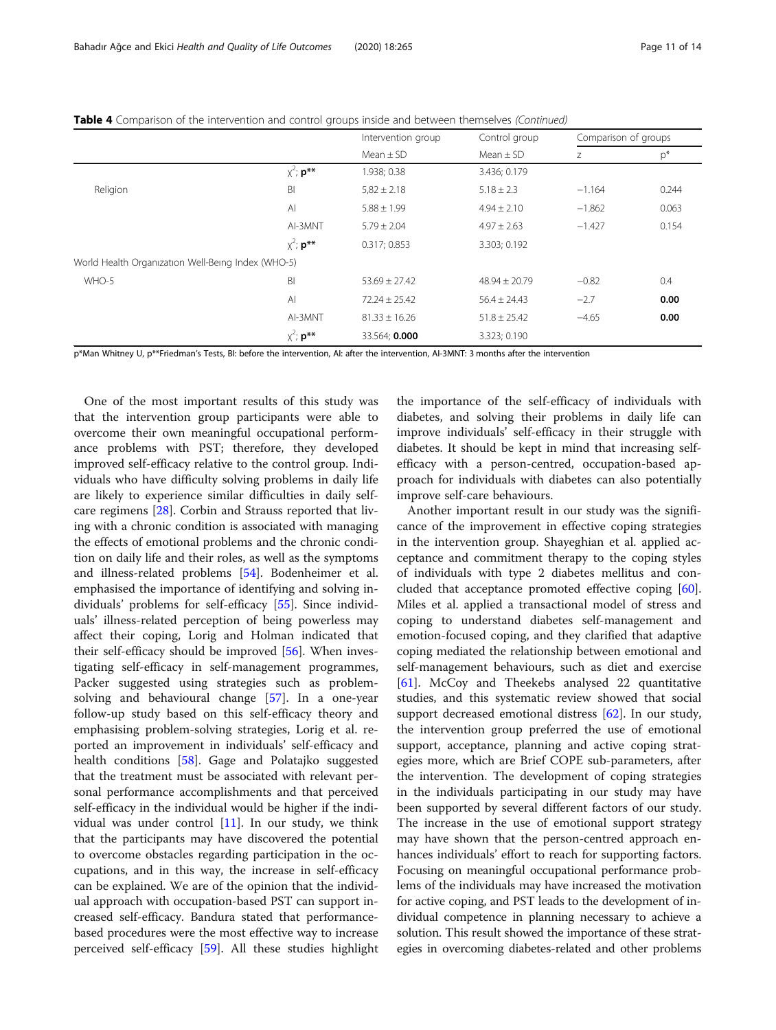|                                                    |                  | Intervention group | Control group     | Comparison of groups |       |
|----------------------------------------------------|------------------|--------------------|-------------------|----------------------|-------|
|                                                    |                  | Mean $\pm$ SD      | Mean $\pm$ SD     | Ζ                    | $p^*$ |
|                                                    | $x^2$ ; $p^{**}$ | 1.938; 0.38        | 3.436; 0.179      |                      |       |
| Religion                                           | B <sub>l</sub>   | $5,82 \pm 2.18$    | $5.18 \pm 2.3$    | $-1.164$             | 0.244 |
|                                                    | $\mathsf{A}$     | $5.88 \pm 1.99$    | $4.94 \pm 2.10$   | $-1.862$             | 0.063 |
|                                                    | AI-3MNT          | $5.79 \pm 2.04$    | $4.97 \pm 2.63$   | $-1.427$             | 0.154 |
|                                                    | $x^2$ ; $p^{**}$ | 0.317; 0.853       | 3.303; 0.192      |                      |       |
| World Health Organization Well-Being Index (WHO-5) |                  |                    |                   |                      |       |
| WHO-5                                              | BI               | $53.69 \pm 27.42$  | $48.94 \pm 20.79$ | $-0.82$              | 0.4   |
|                                                    | $\mathsf{A}$     | $72.24 \pm 25.42$  | $56.4 \pm 24.43$  | $-2.7$               | 0.00  |
|                                                    | AI-3MNT          | $81.33 \pm 16.26$  | $51.8 \pm 25.42$  | $-4.65$              | 0.00  |
|                                                    | $x^2$ ; $p^{**}$ | 33.564; 0.000      | 3.323; 0.190      |                      |       |

Table 4 Comparison of the intervention and control groups inside and between themselves (Continued)

p\*Man Whitney U, p\*\*Friedman's Tests, BI: before the intervention, AI: after the intervention, AI-3MNT: 3 months after the intervention

One of the most important results of this study was that the intervention group participants were able to overcome their own meaningful occupational performance problems with PST; therefore, they developed improved self-efficacy relative to the control group. Individuals who have difficulty solving problems in daily life are likely to experience similar difficulties in daily selfcare regimens [\[28\]](#page-12-0). Corbin and Strauss reported that living with a chronic condition is associated with managing the effects of emotional problems and the chronic condition on daily life and their roles, as well as the symptoms and illness-related problems [[54\]](#page-12-0). Bodenheimer et al. emphasised the importance of identifying and solving individuals' problems for self-efficacy [\[55\]](#page-12-0). Since individuals' illness-related perception of being powerless may affect their coping, Lorig and Holman indicated that their self-efficacy should be improved [\[56](#page-12-0)]. When investigating self-efficacy in self-management programmes, Packer suggested using strategies such as problemsolving and behavioural change [[57](#page-12-0)]. In a one-year follow-up study based on this self-efficacy theory and emphasising problem-solving strategies, Lorig et al. reported an improvement in individuals' self-efficacy and health conditions [\[58](#page-12-0)]. Gage and Polatajko suggested that the treatment must be associated with relevant personal performance accomplishments and that perceived self-efficacy in the individual would be higher if the individual was under control  $[11]$ . In our study, we think that the participants may have discovered the potential to overcome obstacles regarding participation in the occupations, and in this way, the increase in self-efficacy can be explained. We are of the opinion that the individual approach with occupation-based PST can support increased self-efficacy. Bandura stated that performancebased procedures were the most effective way to increase perceived self-efficacy [[59](#page-12-0)]. All these studies highlight

the importance of the self-efficacy of individuals with diabetes, and solving their problems in daily life can improve individuals' self-efficacy in their struggle with diabetes. It should be kept in mind that increasing selfefficacy with a person-centred, occupation-based approach for individuals with diabetes can also potentially improve self-care behaviours.

Another important result in our study was the significance of the improvement in effective coping strategies in the intervention group. Shayeghian et al. applied acceptance and commitment therapy to the coping styles of individuals with type 2 diabetes mellitus and concluded that acceptance promoted effective coping [\[60](#page-12-0)]. Miles et al. applied a transactional model of stress and coping to understand diabetes self-management and emotion-focused coping, and they clarified that adaptive coping mediated the relationship between emotional and self-management behaviours, such as diet and exercise [[61\]](#page-12-0). McCoy and Theekebs analysed 22 quantitative studies, and this systematic review showed that social support decreased emotional distress [\[62](#page-12-0)]. In our study, the intervention group preferred the use of emotional support, acceptance, planning and active coping strategies more, which are Brief COPE sub-parameters, after the intervention. The development of coping strategies in the individuals participating in our study may have been supported by several different factors of our study. The increase in the use of emotional support strategy may have shown that the person-centred approach enhances individuals' effort to reach for supporting factors. Focusing on meaningful occupational performance problems of the individuals may have increased the motivation for active coping, and PST leads to the development of individual competence in planning necessary to achieve a solution. This result showed the importance of these strategies in overcoming diabetes-related and other problems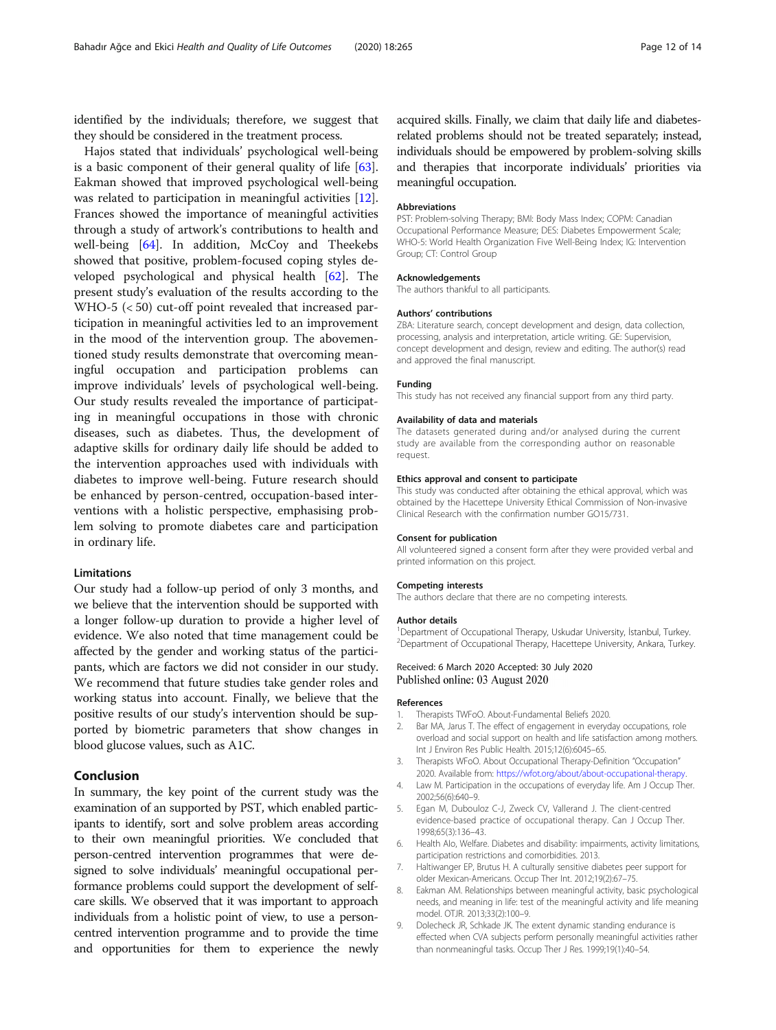<span id="page-11-0"></span>identified by the individuals; therefore, we suggest that they should be considered in the treatment process.

Hajos stated that individuals' psychological well-being is a basic component of their general quality of life  $[63]$  $[63]$ . Eakman showed that improved psychological well-being was related to participation in meaningful activities [\[12](#page-12-0)]. Frances showed the importance of meaningful activities through a study of artwork's contributions to health and well-being [[64](#page-13-0)]. In addition, McCoy and Theekebs showed that positive, problem-focused coping styles developed psychological and physical health [\[62](#page-12-0)]. The present study's evaluation of the results according to the WHO-5 (< 50) cut-off point revealed that increased participation in meaningful activities led to an improvement in the mood of the intervention group. The abovementioned study results demonstrate that overcoming meaningful occupation and participation problems can improve individuals' levels of psychological well-being. Our study results revealed the importance of participating in meaningful occupations in those with chronic diseases, such as diabetes. Thus, the development of adaptive skills for ordinary daily life should be added to the intervention approaches used with individuals with diabetes to improve well-being. Future research should be enhanced by person-centred, occupation-based interventions with a holistic perspective, emphasising problem solving to promote diabetes care and participation in ordinary life.

#### **Limitations**

Our study had a follow-up period of only 3 months, and we believe that the intervention should be supported with a longer follow-up duration to provide a higher level of evidence. We also noted that time management could be affected by the gender and working status of the participants, which are factors we did not consider in our study. We recommend that future studies take gender roles and working status into account. Finally, we believe that the positive results of our study's intervention should be supported by biometric parameters that show changes in blood glucose values, such as A1C.

## Conclusion

In summary, the key point of the current study was the examination of an supported by PST, which enabled participants to identify, sort and solve problem areas according to their own meaningful priorities. We concluded that person-centred intervention programmes that were designed to solve individuals' meaningful occupational performance problems could support the development of selfcare skills. We observed that it was important to approach individuals from a holistic point of view, to use a personcentred intervention programme and to provide the time and opportunities for them to experience the newly acquired skills. Finally, we claim that daily life and diabetesrelated problems should not be treated separately; instead, individuals should be empowered by problem-solving skills and therapies that incorporate individuals' priorities via meaningful occupation.

#### Abbreviations

PST: Problem-solving Therapy; BMI: Body Mass Index; COPM: Canadian Occupational Performance Measure; DES: Diabetes Empowerment Scale; WHO-5: World Health Organization Five Well-Being Index; IG: Intervention Group; CT: Control Group

#### Acknowledgements

The authors thankful to all participants.

#### Authors' contributions

ZBA: Literature search, concept development and design, data collection, processing, analysis and interpretation, article writing. GE: Supervision, concept development and design, review and editing. The author(s) read and approved the final manuscript.

#### Funding

This study has not received any financial support from any third party.

#### Availability of data and materials

The datasets generated during and/or analysed during the current study are available from the corresponding author on reasonable request.

#### Ethics approval and consent to participate

This study was conducted after obtaining the ethical approval, which was obtained by the Hacettepe University Ethical Commission of Non-invasive Clinical Research with the confirmation number GO15/731.

#### Consent for publication

All volunteered signed a consent form after they were provided verbal and printed information on this project.

#### Competing interests

The authors declare that there are no competing interests.

#### Author details

<sup>1</sup> Department of Occupational Therapy, Uskudar University, İstanbul, Turkey.<br><sup>2</sup> Department of Occupational Therapy, Hacettene University, Ankara Turke <sup>2</sup>Department of Occupational Therapy, Hacettepe University, Ankara, Turkey.

#### Received: 6 March 2020 Accepted: 30 July 2020 Published online: 03 August 2020

#### References

- 1. Therapists TWFoO. About-Fundamental Beliefs 2020.
- 2. Bar MA, Jarus T. The effect of engagement in everyday occupations, role overload and social support on health and life satisfaction among mothers. Int J Environ Res Public Health. 2015;12(6):6045–65.
- 3. Therapists WFoO. About Occupational Therapy-Definition "Occupation" 2020. Available from: <https://wfot.org/about/about-occupational-therapy>.
- 4. Law M. Participation in the occupations of everyday life. Am J Occup Ther. 2002;56(6):640–9.
- 5. Egan M, Dubouloz C-J, Zweck CV, Vallerand J. The client-centred evidence-based practice of occupational therapy. Can J Occup Ther. 1998;65(3):136–43.
- Health AIo, Welfare. Diabetes and disability: impairments, activity limitations, participation restrictions and comorbidities. 2013.
- 7. Haltiwanger EP, Brutus H. A culturally sensitive diabetes peer support for older Mexican-Americans. Occup Ther Int. 2012;19(2):67–75.
- 8. Eakman AM. Relationships between meaningful activity, basic psychological needs, and meaning in life: test of the meaningful activity and life meaning model. OTJR. 2013;33(2):100–9.
- 9. Dolecheck JR, Schkade JK. The extent dynamic standing endurance is effected when CVA subjects perform personally meaningful activities rather than nonmeaningful tasks. Occup Ther J Res. 1999;19(1):40–54.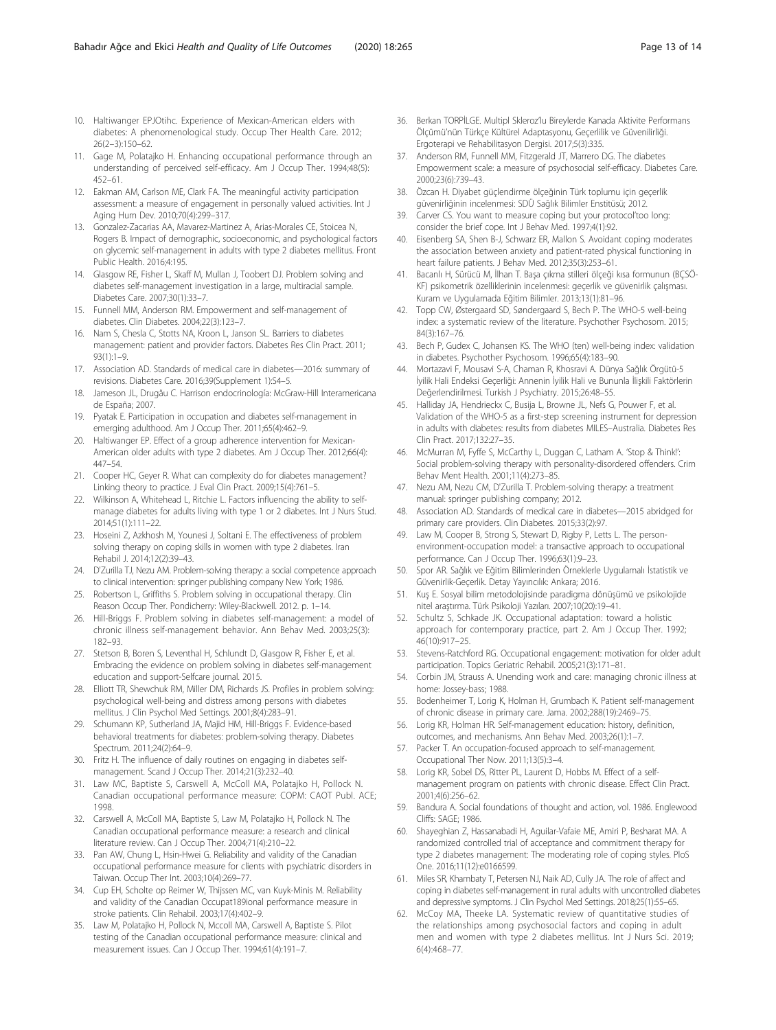- <span id="page-12-0"></span>10. Haltiwanger EPJOtihc. Experience of Mexican-American elders with diabetes: A phenomenological study. Occup Ther Health Care. 2012; 26(2–3):150–62.
- 11. Gage M, Polatajko H. Enhancing occupational performance through an understanding of perceived self-efficacy. Am J Occup Ther. 1994;48(5): 452–61.
- 12. Eakman AM, Carlson ME, Clark FA. The meaningful activity participation assessment: a measure of engagement in personally valued activities. Int J Aging Hum Dev. 2010;70(4):299–317.
- 13. Gonzalez-Zacarias AA, Mavarez-Martinez A, Arias-Morales CE, Stoicea N, Rogers B. Impact of demographic, socioeconomic, and psychological factors on glycemic self-management in adults with type 2 diabetes mellitus. Front Public Health. 2016;4:195.
- 14. Glasgow RE, Fisher L, Skaff M, Mullan J, Toobert DJ. Problem solving and diabetes self-management investigation in a large, multiracial sample. Diabetes Care. 2007;30(1):33–7.
- 15. Funnell MM, Anderson RM. Empowerment and self-management of diabetes. Clin Diabetes. 2004;22(3):123–7.
- 16. Nam S, Chesla C, Stotts NA, Kroon L, Janson SL. Barriers to diabetes management: patient and provider factors. Diabetes Res Clin Pract. 2011; 93(1):1–9.
- 17. Association AD. Standards of medical care in diabetes—2016: summary of revisions. Diabetes Care. 2016;39(Supplement 1):S4–5.
- 18. Jameson JL, Drugău C. Harrison endocrinología: McGraw-Hill Interamericana de España; 2007.
- 19. Pyatak E. Participation in occupation and diabetes self-management in emerging adulthood. Am J Occup Ther. 2011;65(4):462–9.
- 20. Haltiwanger EP. Effect of a group adherence intervention for Mexican-American older adults with type 2 diabetes. Am J Occup Ther. 2012;66(4): 447–54.
- 21. Cooper HC, Geyer R. What can complexity do for diabetes management? Linking theory to practice. J Eval Clin Pract. 2009;15(4):761–5.
- 22. Wilkinson A, Whitehead L, Ritchie L. Factors influencing the ability to selfmanage diabetes for adults living with type 1 or 2 diabetes. Int J Nurs Stud. 2014;51(1):111–22.
- 23. Hoseini Z, Azkhosh M, Younesi J, Soltani E. The effectiveness of problem solving therapy on coping skills in women with type 2 diabetes. Iran Rehabil J. 2014;12(2):39–43.
- 24. D'Zurilla TJ, Nezu AM. Problem-solving therapy: a social competence approach to clinical intervention: springer publishing company New York; 1986.
- 25. Robertson L, Griffiths S. Problem solving in occupational therapy. Clin Reason Occup Ther. Pondicherry: Wiley-Blackwell. 2012. p. 1–14.
- 26. Hill-Briggs F. Problem solving in diabetes self-management: a model of chronic illness self-management behavior. Ann Behav Med. 2003;25(3): 182–93.
- 27. Stetson B, Boren S, Leventhal H, Schlundt D, Glasgow R, Fisher E, et al. Embracing the evidence on problem solving in diabetes self-management education and support-Selfcare journal. 2015.
- 28. Elliott TR, Shewchuk RM, Miller DM, Richards JS. Profiles in problem solving: psychological well-being and distress among persons with diabetes mellitus. J Clin Psychol Med Settings. 2001;8(4):283–91.
- 29. Schumann KP, Sutherland JA, Majid HM, Hill-Briggs F. Evidence-based behavioral treatments for diabetes: problem-solving therapy. Diabetes Spectrum. 2011;24(2):64–9.
- 30. Fritz H. The influence of daily routines on engaging in diabetes selfmanagement. Scand J Occup Ther. 2014;21(3):232–40.
- 31. Law MC, Baptiste S, Carswell A, McColl MA, Polatajko H, Pollock N. Canadian occupational performance measure: COPM: CAOT Publ. ACE; 1998.
- 32. Carswell A, McColl MA, Baptiste S, Law M, Polatajko H, Pollock N. The Canadian occupational performance measure: a research and clinical literature review. Can J Occup Ther. 2004;71(4):210–22.
- 33. Pan AW, Chung L, Hsin-Hwei G. Reliability and validity of the Canadian occupational performance measure for clients with psychiatric disorders in Taiwan. Occup Ther Int. 2003;10(4):269–77.
- 34. Cup EH, Scholte op Reimer W, Thijssen MC, van Kuyk-Minis M. Reliability and validity of the Canadian Occupat189ional performance measure in stroke patients. Clin Rehabil. 2003;17(4):402–9.
- 35. Law M, Polatajko H, Pollock N, Mccoll MA, Carswell A, Baptiste S. Pilot testing of the Canadian occupational performance measure: clinical and measurement issues. Can J Occup Ther. 1994;61(4):191–7.
- 36. Berkan TORPİLGE. Multipl Skleroz'lu Bireylerde Kanada Aktivite Performans Ölçümü'nün Türkçe Kültürel Adaptasyonu, Geçerlilik ve Güvenilirliği. Ergoterapi ve Rehabilitasyon Dergisi. 2017;5(3):335.
- 37. Anderson RM, Funnell MM, Fitzgerald JT, Marrero DG. The diabetes Empowerment scale: a measure of psychosocial self-efficacy. Diabetes Care. 2000;23(6):739–43.
- 38. Özcan H. Diyabet güçlendirme ölçeğinin Türk toplumu için geçerlik güvenirliğinin incelenmesi: SDÜ Sağlık Bilimler Enstitüsü; 2012.
- 39. Carver CS. You want to measure coping but your protocol'too long: consider the brief cope. Int J Behav Med. 1997;4(1):92.
- 40. Eisenberg SA, Shen B-J, Schwarz ER, Mallon S. Avoidant coping moderates the association between anxiety and patient-rated physical functioning in heart failure patients. J Behav Med. 2012;35(3):253–61.
- 41. Bacanlı H, Sürücü M, İlhan T. Başa çıkma stilleri ölçeği kısa formunun (BÇSÖ-KF) psikometrik özelliklerinin incelenmesi: geçerlik ve güvenirlik çalışması. Kuram ve Uygulamada Eğitim Bilimler. 2013;13(1):81–96.
- 42. Topp CW, Østergaard SD, Søndergaard S, Bech P. The WHO-5 well-being index: a systematic review of the literature. Psychother Psychosom. 2015; 84(3):167–76.
- 43. Bech P, Gudex C, Johansen KS. The WHO (ten) well-being index: validation in diabetes. Psychother Psychosom. 1996;65(4):183–90.
- 44. Mortazavi F, Mousavi S-A, Chaman R, Khosravi A. Dünya Sağlık Örgütü-5 İyilik Hali Endeksi Geçerliği: Annenin İyilik Hali ve Bununla İlişkili Faktörlerin Değerlendirilmesi. Turkish J Psychiatry. 2015;26:48–55.
- 45. Halliday JA, Hendrieckx C, Busija L, Browne JL, Nefs G, Pouwer F, et al. Validation of the WHO-5 as a first-step screening instrument for depression in adults with diabetes: results from diabetes MILES–Australia. Diabetes Res Clin Pract. 2017;132:27–35.
- 46. McMurran M, Fyffe S, McCarthy L, Duggan C, Latham A. 'Stop & Think!': Social problem-solving therapy with personality-disordered offenders. Crim Behav Ment Health. 2001;11(4):273–85.
- 47. Nezu AM, Nezu CM, D'Zurilla T. Problem-solving therapy: a treatment manual: springer publishing company; 2012.
- 48. Association AD. Standards of medical care in diabetes—2015 abridged for primary care providers. Clin Diabetes. 2015;33(2):97.
- 49. Law M, Cooper B, Strong S, Stewart D, Rigby P, Letts L. The personenvironment-occupation model: a transactive approach to occupational performance. Can J Occup Ther. 1996;63(1):9–23.
- 50. Spor AR. Sağlık ve Eğitim Bilimlerinden Örneklerle Uygulamalı İstatistik ve Güvenirlik-Geçerlik. Detay Yayıncılık: Ankara; 2016.
- 51. Kuş E. Sosyal bilim metodolojisinde paradigma dönüşümü ve psikolojide nitel araştırma. Türk Psikoloji Yazıları. 2007;10(20):19–41.
- 52. Schultz S, Schkade JK. Occupational adaptation: toward a holistic approach for contemporary practice, part 2. Am J Occup Ther. 1992; 46(10):917–25.
- 53. Stevens-Ratchford RG. Occupational engagement: motivation for older adult participation. Topics Geriatric Rehabil. 2005;21(3):171–81.
- 54. Corbin JM, Strauss A. Unending work and care: managing chronic illness at home: Jossey-bass; 1988.
- 55. Bodenheimer T, Lorig K, Holman H, Grumbach K. Patient self-management of chronic disease in primary care. Jama. 2002;288(19):2469–75.
- 56. Lorig KR, Holman HR. Self-management education: history, definition, outcomes, and mechanisms. Ann Behav Med. 2003;26(1):1–7.
- 57. Packer T. An occupation-focused approach to self-management. Occupational Ther Now. 2011;13(5):3–4.
- 58. Lorig KR, Sobel DS, Ritter PL, Laurent D, Hobbs M. Effect of a selfmanagement program on patients with chronic disease. Effect Clin Pract. 2001;4(6):256–62.
- 59. Bandura A. Social foundations of thought and action, vol. 1986. Englewood Cliffs: SAGE; 1986.
- 60. Shayeghian Z, Hassanabadi H, Aguilar-Vafaie ME, Amiri P, Besharat MA. A randomized controlled trial of acceptance and commitment therapy for type 2 diabetes management: The moderating role of coping styles. PloS One. 2016;11(12):e0166599.
- 61. Miles SR, Khambaty T, Petersen NJ, Naik AD, Cully JA. The role of affect and coping in diabetes self-management in rural adults with uncontrolled diabetes and depressive symptoms. J Clin Psychol Med Settings. 2018;25(1):55–65.
- 62. McCoy MA, Theeke LA. Systematic review of quantitative studies of the relationships among psychosocial factors and coping in adult men and women with type 2 diabetes mellitus. Int J Nurs Sci. 2019; 6(4):468–77.